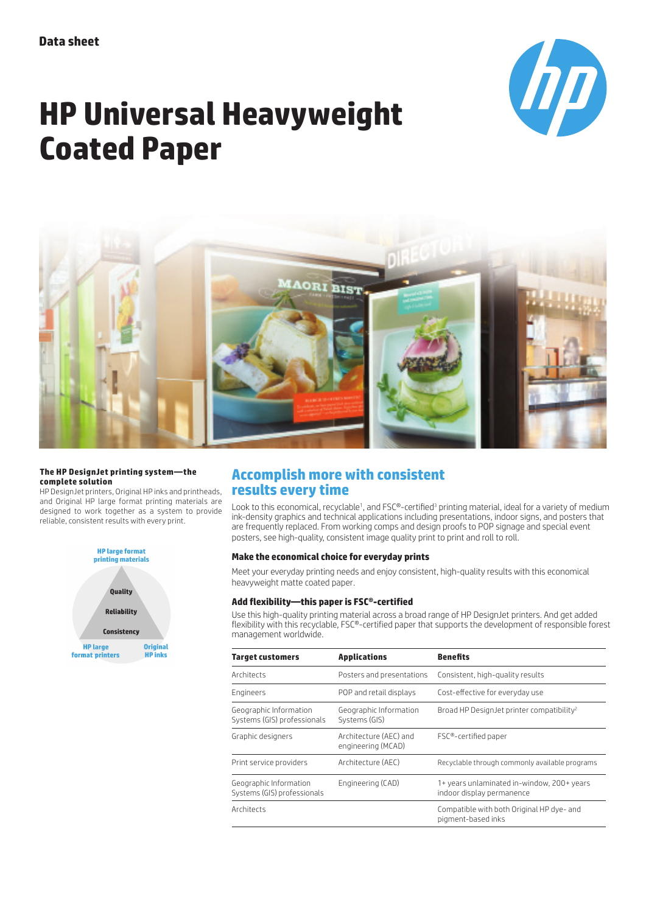

# **HP Universal Heavyweight Coated Paper**



#### **The HP DesignJet printing system—the complete solution**

HP DesignJet printers, Original HP inks and printheads, and Original HP large format printing materials are designed to work together as a system to provide reliable, consistent results with every print.



# **Accomplish more with consistent results every time**

Look to this economical, recyclable<sup>1</sup>, and FSC®-certified<sup>3</sup> printing material, ideal for a variety of medium ink-density graphics and technical applications including presentations, indoor signs, and posters that are frequently replaced. From working comps and design proofs to POP signage and special event posters, see high-quality, consistent image quality print to print and roll to roll.

## **Make the economical choice for everyday prints**

Meet your everyday printing needs and enjoy consistent, high-quality results with this economical heavyweight matte coated paper.

## **Add flexibility—this paper is FSC®-certified**

Use this high-quality printing material across a broad range of HP DesignJet printers. And get added flexibility with this recyclable, FSC®-certified paper that supports the development of responsible forest management worldwide.

| <b>Target customers</b>                               | <b>Applications</b>                          | <b>Benefits</b>                                                         |  |
|-------------------------------------------------------|----------------------------------------------|-------------------------------------------------------------------------|--|
| Architects                                            | Posters and presentations                    | Consistent, high-quality results                                        |  |
| Engineers                                             | POP and retail displays                      | Cost-effective for everyday use                                         |  |
| Geographic Information<br>Systems (GIS) professionals | Geographic Information<br>Systems (GIS)      | Broad HP DesignJet printer compatibility <sup>2</sup>                   |  |
| Graphic designers                                     | Architecture (AEC) and<br>engineering (MCAD) | FSC®-certified paper                                                    |  |
| Print service providers                               | Architecture (AEC)                           | Recyclable through commonly available programs                          |  |
| Geographic Information<br>Systems (GIS) professionals | Engineering (CAD)                            | 1+ years unlaminated in-window, 200+ years<br>indoor display permanence |  |
| Architects                                            |                                              | Compatible with both Original HP dye- and<br>pigment-based inks         |  |